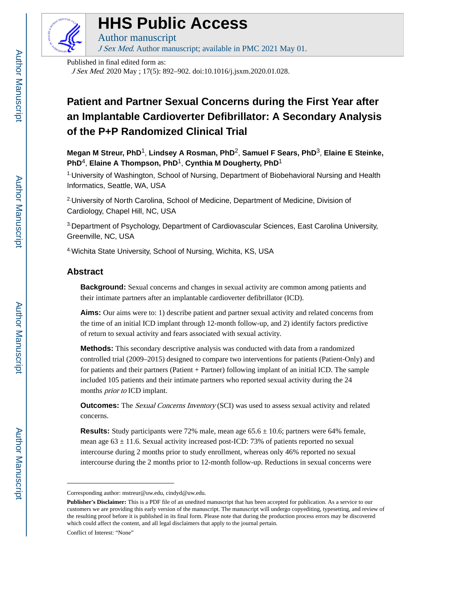

# **HHS Public Access**

Author manuscript J Sex Med. Author manuscript; available in PMC 2021 May 01.

Published in final edited form as:

J Sex Med. 2020 May ; 17(5): 892–902. doi:10.1016/j.jsxm.2020.01.028.

# **Patient and Partner Sexual Concerns during the First Year after an Implantable Cardioverter Defibrillator: A Secondary Analysis of the P+P Randomized Clinical Trial**

**Megan M Streur, PhD**1, **Lindsey A Rosman, PhD**2, **Samuel F Sears, PhD**3, **Elaine E Steinke, PhD**4, **Elaine A Thompson, PhD**1, **Cynthia M Dougherty, PhD**<sup>1</sup>

1.University of Washington, School of Nursing, Department of Biobehavioral Nursing and Health Informatics, Seattle, WA, USA

2.University of North Carolina, School of Medicine, Department of Medicine, Division of Cardiology, Chapel Hill, NC, USA

3.Department of Psychology, Department of Cardiovascular Sciences, East Carolina University, Greenville, NC, USA

4.Wichita State University, School of Nursing, Wichita, KS, USA

# **Abstract**

**Background:** Sexual concerns and changes in sexual activity are common among patients and their intimate partners after an implantable cardioverter defibrillator (ICD).

**Aims:** Our aims were to: 1) describe patient and partner sexual activity and related concerns from the time of an initial ICD implant through 12-month follow-up, and 2) identify factors predictive of return to sexual activity and fears associated with sexual activity.

**Methods:** This secondary descriptive analysis was conducted with data from a randomized controlled trial (2009–2015) designed to compare two interventions for patients (Patient-Only) and for patients and their partners (Patient + Partner) following implant of an initial ICD. The sample included 105 patients and their intimate partners who reported sexual activity during the 24 months *prior to* ICD implant.

**Outcomes:** The *Sexual Concerns Inventory* (SCI) was used to assess sexual activity and related concerns.

**Results:** Study participants were 72% male, mean age  $65.6 \pm 10.6$ ; partners were 64% female, mean age  $63 \pm 11.6$ . Sexual activity increased post-ICD: 73% of patients reported no sexual intercourse during 2 months prior to study enrollment, whereas only 46% reported no sexual intercourse during the 2 months prior to 12-month follow-up. Reductions in sexual concerns were

Conflict of Interest: "None"

Corresponding author: mstreur@uw.edu, cindyd@uw.edu.

**Publisher's Disclaimer:** This is a PDF file of an unedited manuscript that has been accepted for publication. As a service to our customers we are providing this early version of the manuscript. The manuscript will undergo copyediting, typesetting, and review of the resulting proof before it is published in its final form. Please note that during the production process errors may be discovered which could affect the content, and all legal disclaimers that apply to the journal pertain.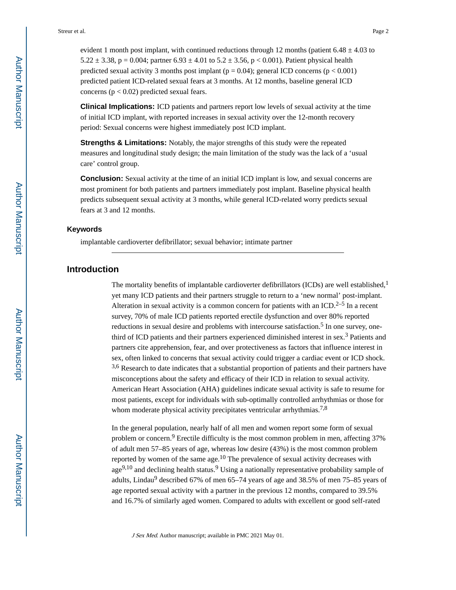evident 1 month post implant, with continued reductions through 12 months (patient  $6.48 \pm 4.03$  to 5.22  $\pm$  3.38, p = 0.004; partner 6.93  $\pm$  4.01 to 5.2  $\pm$  3.56, p < 0.001). Patient physical health predicted sexual activity 3 months post implant ( $p = 0.04$ ); general ICD concerns ( $p < 0.001$ ) predicted patient ICD-related sexual fears at 3 months. At 12 months, baseline general ICD concerns ( $p < 0.02$ ) predicted sexual fears.

**Clinical Implications:** ICD patients and partners report low levels of sexual activity at the time of initial ICD implant, with reported increases in sexual activity over the 12-month recovery period: Sexual concerns were highest immediately post ICD implant.

**Strengths & Limitations:** Notably, the major strengths of this study were the repeated measures and longitudinal study design; the main limitation of the study was the lack of a 'usual care' control group.

**Conclusion:** Sexual activity at the time of an initial ICD implant is low, and sexual concerns are most prominent for both patients and partners immediately post implant. Baseline physical health predicts subsequent sexual activity at 3 months, while general ICD-related worry predicts sexual fears at 3 and 12 months.

#### **Keywords**

implantable cardioverter defibrillator; sexual behavior; intimate partner

# **Introduction**

The mortality benefits of implantable cardioverter defibrillators (ICDs) are well established,<sup>1</sup> yet many ICD patients and their partners struggle to return to a 'new normal' post-implant. Alteration in sexual activity is a common concern for patients with an ICD.<sup>2–5</sup> In a recent survey, 70% of male ICD patients reported erectile dysfunction and over 80% reported reductions in sexual desire and problems with intercourse satisfaction.<sup>5</sup> In one survey, onethird of ICD patients and their partners experienced diminished interest in sex.<sup>3</sup> Patients and partners cite apprehension, fear, and over protectiveness as factors that influence interest in sex, often linked to concerns that sexual activity could trigger a cardiac event or ICD shock. <sup>3,6</sup> Research to date indicates that a substantial proportion of patients and their partners have misconceptions about the safety and efficacy of their ICD in relation to sexual activity. American Heart Association (AHA) guidelines indicate sexual activity is safe to resume for most patients, except for individuals with sub-optimally controlled arrhythmias or those for whom moderate physical activity precipitates ventricular arrhythmias.<sup>7,8</sup>

In the general population, nearly half of all men and women report some form of sexual problem or concern.<sup>9</sup> Erectile difficulty is the most common problem in men, affecting 37% of adult men 57–85 years of age, whereas low desire (43%) is the most common problem reported by women of the same age. $10$  The prevalence of sexual activity decreases with age<sup>9,10</sup> and declining health status.<sup>9</sup> Using a nationally representative probability sample of adults, Lindau<sup>9</sup> described 67% of men 65–74 years of age and 38.5% of men 75–85 years of age reported sexual activity with a partner in the previous 12 months, compared to 39.5% and 16.7% of similarly aged women. Compared to adults with excellent or good self-rated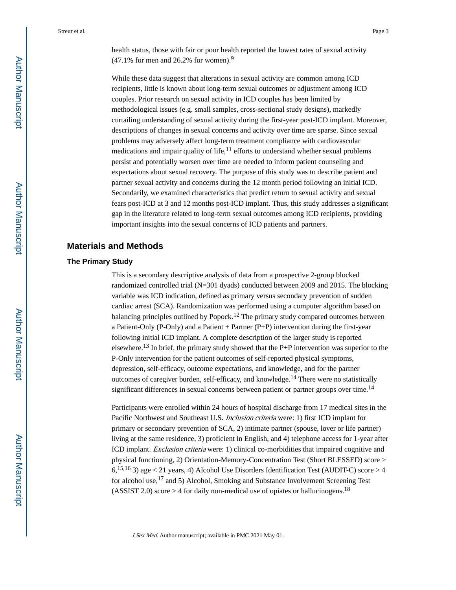health status, those with fair or poor health reported the lowest rates of sexual activity  $(47.1\%$  for men and 26.2% for women).<sup>9</sup>

While these data suggest that alterations in sexual activity are common among ICD recipients, little is known about long-term sexual outcomes or adjustment among ICD couples. Prior research on sexual activity in ICD couples has been limited by methodological issues (e.g. small samples, cross-sectional study designs), markedly curtailing understanding of sexual activity during the first-year post-ICD implant. Moreover, descriptions of changes in sexual concerns and activity over time are sparse. Since sexual problems may adversely affect long-term treatment compliance with cardiovascular medications and impair quality of life, $^{11}$  efforts to understand whether sexual problems persist and potentially worsen over time are needed to inform patient counseling and expectations about sexual recovery. The purpose of this study was to describe patient and partner sexual activity and concerns during the 12 month period following an initial ICD. Secondarily, we examined characteristics that predict return to sexual activity and sexual fears post-ICD at 3 and 12 months post-ICD implant. Thus, this study addresses a significant gap in the literature related to long-term sexual outcomes among ICD recipients, providing important insights into the sexual concerns of ICD patients and partners.

# **Materials and Methods**

#### **The Primary Study**

This is a secondary descriptive analysis of data from a prospective 2-group blocked randomized controlled trial (N=301 dyads) conducted between 2009 and 2015. The blocking variable was ICD indication, defined as primary versus secondary prevention of sudden cardiac arrest (SCA). Randomization was performed using a computer algorithm based on balancing principles outlined by Popock.12 The primary study compared outcomes between a Patient-Only (P-Only) and a Patient  $+$  Partner (P+P) intervention during the first-year following initial ICD implant. A complete description of the larger study is reported elsewhere.13 In brief, the primary study showed that the P+P intervention was superior to the P-Only intervention for the patient outcomes of self-reported physical symptoms, depression, self-efficacy, outcome expectations, and knowledge, and for the partner outcomes of caregiver burden, self-efficacy, and knowledge.14 There were no statistically significant differences in sexual concerns between patient or partner groups over time.<sup>14</sup>

Participants were enrolled within 24 hours of hospital discharge from 17 medical sites in the Pacific Northwest and Southeast U.S. Inclusion criteria were: 1) first ICD implant for primary or secondary prevention of SCA, 2) intimate partner (spouse, lover or life partner) living at the same residence, 3) proficient in English, and 4) telephone access for 1-year after ICD implant. Exclusion criteria were: 1) clinical co-morbidities that impaired cognitive and physical functioning, 2) Orientation-Memory-Concentration Test (Short BLESSED) score >  $6,^{15,16}$  3) age < 21 years, 4) Alcohol Use Disorders Identification Test (AUDIT-C) score > 4 for alcohol use,<sup>17</sup> and 5) Alcohol, Smoking and Substance Involvement Screening Test (ASSIST 2.0) score  $> 4$  for daily non-medical use of opiates or hallucinogens.<sup>18</sup>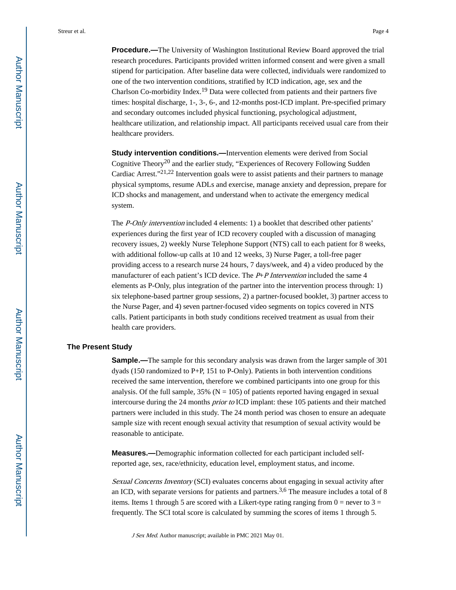**Procedure.—**The University of Washington Institutional Review Board approved the trial research procedures. Participants provided written informed consent and were given a small stipend for participation. After baseline data were collected, individuals were randomized to one of the two intervention conditions, stratified by ICD indication, age, sex and the Charlson Co-morbidity Index.19 Data were collected from patients and their partners five times: hospital discharge, 1-, 3-, 6-, and 12-months post-ICD implant. Pre-specified primary and secondary outcomes included physical functioning, psychological adjustment, healthcare utilization, and relationship impact. All participants received usual care from their healthcare providers.

**Study intervention conditions.—**Intervention elements were derived from Social Cognitive Theory<sup>20</sup> and the earlier study, "Experiences of Recovery Following Sudden" Cardiac Arrest."21,22 Intervention goals were to assist patients and their partners to manage physical symptoms, resume ADLs and exercise, manage anxiety and depression, prepare for ICD shocks and management, and understand when to activate the emergency medical system.

The P-Only intervention included 4 elements: 1) a booklet that described other patients' experiences during the first year of ICD recovery coupled with a discussion of managing recovery issues, 2) weekly Nurse Telephone Support (NTS) call to each patient for 8 weeks, with additional follow-up calls at 10 and 12 weeks, 3) Nurse Pager, a toll-free pager providing access to a research nurse 24 hours, 7 days/week, and 4) a video produced by the manufacturer of each patient's ICD device. The  $P+P$  Intervention included the same 4 elements as P-Only, plus integration of the partner into the intervention process through: 1) six telephone-based partner group sessions, 2) a partner-focused booklet, 3) partner access to the Nurse Pager, and 4) seven partner-focused video segments on topics covered in NTS calls. Patient participants in both study conditions received treatment as usual from their health care providers.

#### **The Present Study**

**Sample.—**The sample for this secondary analysis was drawn from the larger sample of 301 dyads (150 randomized to P+P, 151 to P-Only). Patients in both intervention conditions received the same intervention, therefore we combined participants into one group for this analysis. Of the full sample,  $35\%$  (N = 105) of patients reported having engaged in sexual intercourse during the 24 months prior to ICD implant: these 105 patients and their matched partners were included in this study. The 24 month period was chosen to ensure an adequate sample size with recent enough sexual activity that resumption of sexual activity would be reasonable to anticipate.

**Measures.—**Demographic information collected for each participant included selfreported age, sex, race/ethnicity, education level, employment status, and income.

Sexual Concerns Inventory (SCI) evaluates concerns about engaging in sexual activity after an ICD, with separate versions for patients and partners.<sup>3,6</sup> The measure includes a total of 8 items. Items 1 through 5 are scored with a Likert-type rating ranging from  $0 =$  never to 3 = frequently. The SCI total score is calculated by summing the scores of items 1 through 5.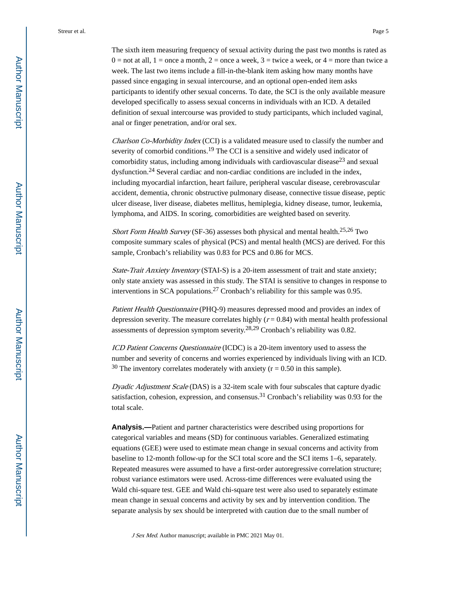The sixth item measuring frequency of sexual activity during the past two months is rated as  $0 =$  not at all,  $1 =$  once a month,  $2 =$  once a week,  $3 =$  twice a week, or  $4 =$  more than twice a week. The last two items include a fill-in-the-blank item asking how many months have passed since engaging in sexual intercourse, and an optional open-ended item asks participants to identify other sexual concerns. To date, the SCI is the only available measure developed specifically to assess sexual concerns in individuals with an ICD. A detailed definition of sexual intercourse was provided to study participants, which included vaginal, anal or finger penetration, and/or oral sex.

Charlson Co-Morbidity Index (CCI) is a validated measure used to classify the number and severity of comorbid conditions.<sup>19</sup> The CCI is a sensitive and widely used indicator of comorbidity status, including among individuals with cardiovascular disease<sup>23</sup> and sexual dysfunction.24 Several cardiac and non-cardiac conditions are included in the index, including myocardial infarction, heart failure, peripheral vascular disease, cerebrovascular accident, dementia, chronic obstructive pulmonary disease, connective tissue disease, peptic ulcer disease, liver disease, diabetes mellitus, hemiplegia, kidney disease, tumor, leukemia, lymphoma, and AIDS. In scoring, comorbidities are weighted based on severity.

Short Form Health Survey (SF-36) assesses both physical and mental health.<sup>25,26</sup> Two composite summary scales of physical (PCS) and mental health (MCS) are derived. For this sample, Cronbach's reliability was 0.83 for PCS and 0.86 for MCS.

State-Trait Anxiety Inventory (STAI-S) is a 20-item assessment of trait and state anxiety; only state anxiety was assessed in this study. The STAI is sensitive to changes in response to interventions in SCA populations.27 Cronbach's reliability for this sample was 0.95.

Patient Health Questionnaire (PHQ-9) measures depressed mood and provides an index of depression severity. The measure correlates highly  $(r = 0.84)$  with mental health professional assessments of depression symptom severity.28,29 Cronbach's reliability was 0.82.

ICD Patient Concerns Questionnaire (ICDC) is a 20-item inventory used to assess the number and severity of concerns and worries experienced by individuals living with an ICD.  $30$  The inventory correlates moderately with anxiety ( $r = 0.50$  in this sample).

Dyadic Adjustment Scale (DAS) is a 32-item scale with four subscales that capture dyadic satisfaction, cohesion, expression, and consensus.<sup>31</sup> Cronbach's reliability was 0.93 for the total scale.

**Analysis.—**Patient and partner characteristics were described using proportions for categorical variables and means (SD) for continuous variables. Generalized estimating equations (GEE) were used to estimate mean change in sexual concerns and activity from baseline to 12-month follow-up for the SCI total score and the SCI items 1–6, separately. Repeated measures were assumed to have a first-order autoregressive correlation structure; robust variance estimators were used. Across-time differences were evaluated using the Wald chi-square test. GEE and Wald chi-square test were also used to separately estimate mean change in sexual concerns and activity by sex and by intervention condition. The separate analysis by sex should be interpreted with caution due to the small number of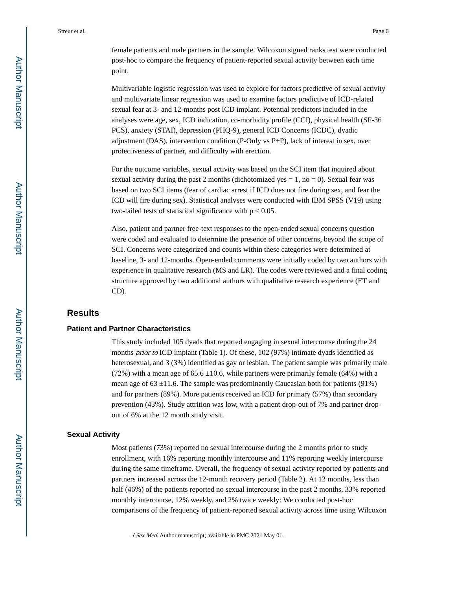female patients and male partners in the sample. Wilcoxon signed ranks test were conducted post-hoc to compare the frequency of patient-reported sexual activity between each time point.

Multivariable logistic regression was used to explore for factors predictive of sexual activity and multivariate linear regression was used to examine factors predictive of ICD-related sexual fear at 3- and 12-months post ICD implant. Potential predictors included in the analyses were age, sex, ICD indication, co-morbidity profile (CCI), physical health (SF-36 PCS), anxiety (STAI), depression (PHQ-9), general ICD Concerns (ICDC), dyadic adjustment (DAS), intervention condition (P-Only vs P+P), lack of interest in sex, over protectiveness of partner, and difficulty with erection.

For the outcome variables, sexual activity was based on the SCI item that inquired about sexual activity during the past 2 months (dichotomized yes  $= 1$ , no  $= 0$ ). Sexual fear was based on two SCI items (fear of cardiac arrest if ICD does not fire during sex, and fear the ICD will fire during sex). Statistical analyses were conducted with IBM SPSS (V19) using two-tailed tests of statistical significance with  $p < 0.05$ .

Also, patient and partner free-text responses to the open-ended sexual concerns question were coded and evaluated to determine the presence of other concerns, beyond the scope of SCI. Concerns were categorized and counts within these categories were determined at baseline, 3- and 12-months. Open-ended comments were initially coded by two authors with experience in qualitative research (MS and LR). The codes were reviewed and a final coding structure approved by two additional authors with qualitative research experience (ET and CD).

# **Results**

#### **Patient and Partner Characteristics**

This study included 105 dyads that reported engaging in sexual intercourse during the 24 months *prior to* ICD implant (Table 1). Of these, 102 (97%) intimate dyads identified as heterosexual, and 3 (3%) identified as gay or lesbian. The patient sample was primarily male (72%) with a mean age of  $65.6 \pm 10.6$ , while partners were primarily female (64%) with a mean age of  $63 \pm 11.6$ . The sample was predominantly Caucasian both for patients (91%) and for partners (89%). More patients received an ICD for primary (57%) than secondary prevention (43%). Study attrition was low, with a patient drop-out of 7% and partner dropout of 6% at the 12 month study visit.

#### **Sexual Activity**

Most patients (73%) reported no sexual intercourse during the 2 months prior to study enrollment, with 16% reporting monthly intercourse and 11% reporting weekly intercourse during the same timeframe. Overall, the frequency of sexual activity reported by patients and partners increased across the 12-month recovery period (Table 2). At 12 months, less than half (46%) of the patients reported no sexual intercourse in the past 2 months, 33% reported monthly intercourse, 12% weekly, and 2% twice weekly: We conducted post-hoc comparisons of the frequency of patient-reported sexual activity across time using Wilcoxon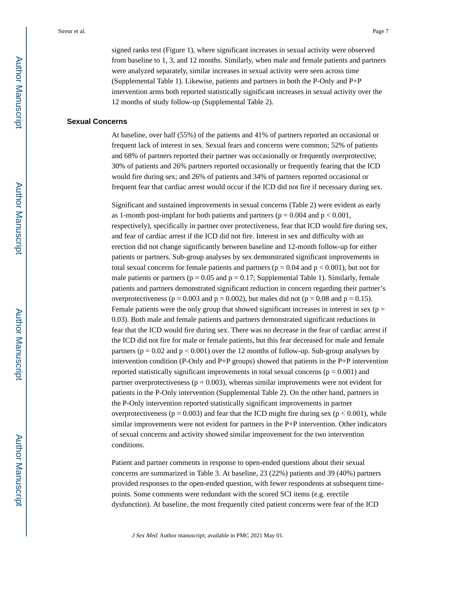signed ranks test (Figure 1), where significant increases in sexual activity were observed from baseline to 1, 3, and 12 months. Similarly, when male and female patients and partners were analyzed separately, similar increases in sexual activity were seen across time (Supplemental Table 1). Likewise, patients and partners in both the P-Only and P+P intervention arms both reported statistically significant increases in sexual activity over the 12 months of study follow-up (Supplemental Table 2).

#### **Sexual Concerns**

At baseline, over half (55%) of the patients and 41% of partners reported an occasional or frequent lack of interest in sex. Sexual fears and concerns were common; 52% of patients and 68% of partners reported their partner was occasionally or frequently overprotective; 30% of patients and 26% partners reported occasionally or frequently fearing that the ICD would fire during sex; and 26% of patients and 34% of partners reported occasional or frequent fear that cardiac arrest would occur if the ICD did not fire if necessary during sex.

Significant and sustained improvements in sexual concerns (Table 2) were evident as early as 1-month post-implant for both patients and partners ( $p = 0.004$  and  $p < 0.001$ , respectively), specifically in partner over protectiveness, fear that ICD would fire during sex, and fear of cardiac arrest if the ICD did not fire. Interest in sex and difficulty with an erection did not change significantly between baseline and 12-month follow-up for either patients or partners. Sub-group analyses by sex demonstrated significant improvements in total sexual concerns for female patients and partners ( $p = 0.04$  and  $p < 0.001$ ), but not for male patients or partners ( $p = 0.05$  and  $p = 0.17$ ; Supplemental Table 1). Similarly, female patients and partners demonstrated significant reduction in concern regarding their partner's overprotectiveness ( $p = 0.003$  and  $p = 0.002$ ), but males did not ( $p = 0.08$  and  $p = 0.15$ ). Female patients were the only group that showed significant increases in interest in sex ( $p =$ 0.03). Both male and female patients and partners demonstrated significant reductions in fear that the ICD would fire during sex. There was no decrease in the fear of cardiac arrest if the ICD did not fire for male or female patients, but this fear decreased for male and female partners ( $p = 0.02$  and  $p < 0.001$ ) over the 12 months of follow-up. Sub-group analyses by intervention condition (P-Only and P+P groups) showed that patients in the  $P+P$  intervention reported statistically significant improvements in total sexual concerns ( $p = 0.001$ ) and partner overprotectiveness ( $p = 0.003$ ), whereas similar improvements were not evident for patients in the P-Only intervention (Supplemental Table 2). On the other hand, partners in the P-Only intervention reported statistically significant improvements in partner overprotectiveness ( $p = 0.003$ ) and fear that the ICD might fire during sex ( $p < 0.001$ ), while similar improvements were not evident for partners in the P+P intervention. Other indicators of sexual concerns and activity showed similar improvement for the two intervention conditions.

Patient and partner comments in response to open-ended questions about their sexual concerns are summarized in Table 3. At baseline, 23 (22%) patients and 39 (40%) partners provided responses to the open-ended question, with fewer respondents at subsequent timepoints. Some comments were redundant with the scored SCI items (e.g. erectile dysfunction). At baseline, the most frequently cited patient concerns were fear of the ICD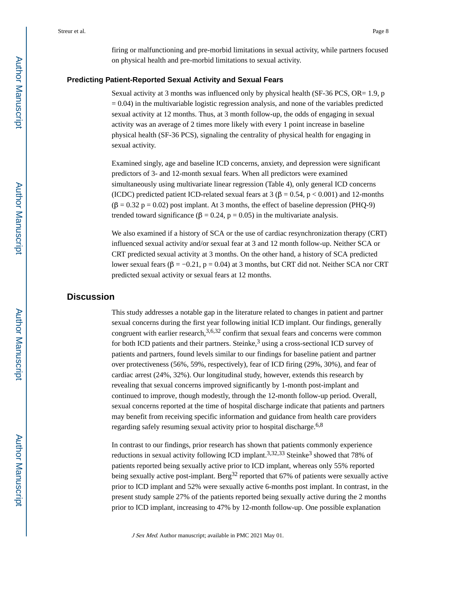firing or malfunctioning and pre-morbid limitations in sexual activity, while partners focused on physical health and pre-morbid limitations to sexual activity.

#### **Predicting Patient-Reported Sexual Activity and Sexual Fears**

Sexual activity at 3 months was influenced only by physical health (SF-36 PCS, OR= 1.9, p  $= 0.04$ ) in the multivariable logistic regression analysis, and none of the variables predicted sexual activity at 12 months. Thus, at 3 month follow-up, the odds of engaging in sexual activity was an average of 2 times more likely with every 1 point increase in baseline physical health (SF-36 PCS), signaling the centrality of physical health for engaging in sexual activity.

Examined singly, age and baseline ICD concerns, anxiety, and depression were significant predictors of 3- and 12-month sexual fears. When all predictors were examined simultaneously using multivariate linear regression (Table 4), only general ICD concerns (ICDC) predicted patient ICD-related sexual fears at 3 ( $\beta$  = 0.54, p < 0.001) and 12-months  $(\beta = 0.32 \text{ p} = 0.02)$  post implant. At 3 months, the effect of baseline depression (PHQ-9) trended toward significance ( $\beta = 0.24$ ,  $p = 0.05$ ) in the multivariate analysis.

We also examined if a history of SCA or the use of cardiac resynchronization therapy (CRT) influenced sexual activity and/or sexual fear at 3 and 12 month follow-up. Neither SCA or CRT predicted sexual activity at 3 months. On the other hand, a history of SCA predicted lower sexual fears (β =  $-0.21$ , p = 0.04) at 3 months, but CRT did not. Neither SCA nor CRT predicted sexual activity or sexual fears at 12 months.

# **Discussion**

This study addresses a notable gap in the literature related to changes in patient and partner sexual concerns during the first year following initial ICD implant. Our findings, generally congruent with earlier research,  $3,6,32$  confirm that sexual fears and concerns were common for both ICD patients and their partners. Steinke,<sup>3</sup> using a cross-sectional ICD survey of patients and partners, found levels similar to our findings for baseline patient and partner over protectiveness (56%, 59%, respectively), fear of ICD firing (29%, 30%), and fear of cardiac arrest (24%, 32%). Our longitudinal study, however, extends this research by revealing that sexual concerns improved significantly by 1-month post-implant and continued to improve, though modestly, through the 12-month follow-up period. Overall, sexual concerns reported at the time of hospital discharge indicate that patients and partners may benefit from receiving specific information and guidance from health care providers regarding safely resuming sexual activity prior to hospital discharge.<sup>6,8</sup>

In contrast to our findings, prior research has shown that patients commonly experience reductions in sexual activity following ICD implant.<sup>3,32,33</sup> Steinke<sup>3</sup> showed that 78% of patients reported being sexually active prior to ICD implant, whereas only 55% reported being sexually active post-implant. Berg<sup>32</sup> reported that 67% of patients were sexually active prior to ICD implant and 52% were sexually active 6-months post implant. In contrast, in the present study sample 27% of the patients reported being sexually active during the 2 months prior to ICD implant, increasing to 47% by 12-month follow-up. One possible explanation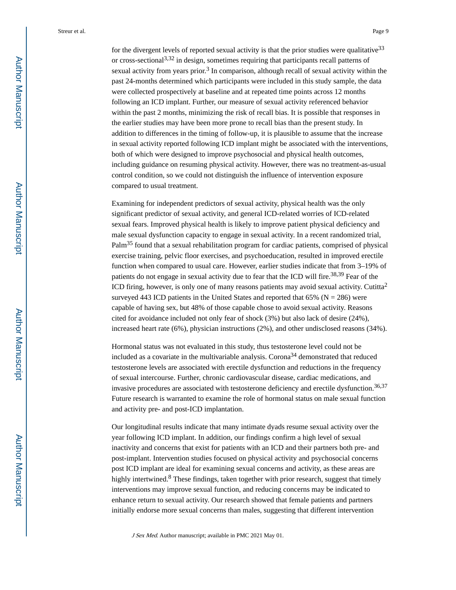for the divergent levels of reported sexual activity is that the prior studies were qualitative  $33$ or cross-sectional<sup>3,32</sup> in design, sometimes requiring that participants recall patterns of sexual activity from years prior.<sup>3</sup> In comparison, although recall of sexual activity within the past 24-months determined which participants were included in this study sample, the data were collected prospectively at baseline and at repeated time points across 12 months following an ICD implant. Further, our measure of sexual activity referenced behavior within the past 2 months, minimizing the risk of recall bias. It is possible that responses in the earlier studies may have been more prone to recall bias than the present study. In addition to differences in the timing of follow-up, it is plausible to assume that the increase in sexual activity reported following ICD implant might be associated with the interventions, both of which were designed to improve psychosocial and physical health outcomes, including guidance on resuming physical activity. However, there was no treatment-as-usual control condition, so we could not distinguish the influence of intervention exposure compared to usual treatment.

Examining for independent predictors of sexual activity, physical health was the only significant predictor of sexual activity, and general ICD-related worries of ICD-related sexual fears. Improved physical health is likely to improve patient physical deficiency and male sexual dysfunction capacity to engage in sexual activity. In a recent randomized trial, Palm35 found that a sexual rehabilitation program for cardiac patients, comprised of physical exercise training, pelvic floor exercises, and psychoeducation, resulted in improved erectile function when compared to usual care. However, earlier studies indicate that from 3–19% of patients do not engage in sexual activity due to fear that the ICD will fire.<sup>38,39</sup> Fear of the ICD firing, however, is only one of many reasons patients may avoid sexual activity. Cutitta<sup>2</sup> surveyed 443 ICD patients in the United States and reported that  $65\%$  (N = 286) were capable of having sex, but 48% of those capable chose to avoid sexual activity. Reasons cited for avoidance included not only fear of shock (3%) but also lack of desire (24%), increased heart rate (6%), physician instructions (2%), and other undisclosed reasons (34%).

Hormonal status was not evaluated in this study, thus testosterone level could not be included as a covariate in the multivariable analysis. Corona<sup>34</sup> demonstrated that reduced testosterone levels are associated with erectile dysfunction and reductions in the frequency of sexual intercourse. Further, chronic cardiovascular disease, cardiac medications, and invasive procedures are associated with testosterone deficiency and erectile dysfunction.<sup>36,37</sup> Future research is warranted to examine the role of hormonal status on male sexual function and activity pre- and post-ICD implantation.

Our longitudinal results indicate that many intimate dyads resume sexual activity over the year following ICD implant. In addition, our findings confirm a high level of sexual inactivity and concerns that exist for patients with an ICD and their partners both pre- and post-implant. Intervention studies focused on physical activity and psychosocial concerns post ICD implant are ideal for examining sexual concerns and activity, as these areas are highly intertwined.<sup>8</sup> These findings, taken together with prior research, suggest that timely interventions may improve sexual function, and reducing concerns may be indicated to enhance return to sexual activity. Our research showed that female patients and partners initially endorse more sexual concerns than males, suggesting that different intervention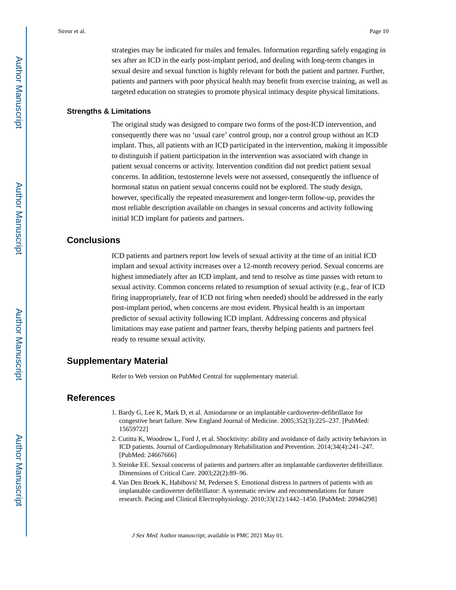strategies may be indicated for males and females. Information regarding safely engaging in sex after an ICD in the early post-implant period, and dealing with long-term changes in sexual desire and sexual function is highly relevant for both the patient and partner. Further, patients and partners with poor physical health may benefit from exercise training, as well as targeted education on strategies to promote physical intimacy despite physical limitations.

#### **Strengths & Limitations**

The original study was designed to compare two forms of the post-ICD intervention, and consequently there was no 'usual care' control group, nor a control group without an ICD implant. Thus, all patients with an ICD participated in the intervention, making it impossible to distinguish if patient participation in the intervention was associated with change in patient sexual concerns or activity. Intervention condition did not predict patient sexual concerns. In addition, testosterone levels were not assessed, consequently the influence of hormonal status on patient sexual concerns could not be explored. The study design, however, specifically the repeated measurement and longer-term follow-up, provides the most reliable description available on changes in sexual concerns and activity following initial ICD implant for patients and partners.

# **Conclusions**

ICD patients and partners report low levels of sexual activity at the time of an initial ICD implant and sexual activity increases over a 12-month recovery period. Sexual concerns are highest immediately after an ICD implant, and tend to resolve as time passes with return to sexual activity. Common concerns related to resumption of sexual activity (e.g., fear of ICD firing inappropriately, fear of ICD not firing when needed) should be addressed in the early post-implant period, when concerns are most evident. Physical health is an important predictor of sexual activity following ICD implant. Addressing concerns and physical limitations may ease patient and partner fears, thereby helping patients and partners feel ready to resume sexual activity.

# **Supplementary Material**

Refer to Web version on PubMed Central for supplementary material.

# **References**

- 1. Bardy G, Lee K, Mark D, et al. Amiodarone or an implantable cardioverter-defibrillator for congestive heart failure. New England Journal of Medicine. 2005;352(3):225–237. [PubMed: 15659722]
- 2. Cutitta K, Woodrow L, Ford J, et al. Shocktivity: ability and avoidance of daily activity behaviors in ICD patients. Journal of Cardiopulmonary Rehabilitation and Prevention. 2014;34(4):241–247. [PubMed: 24667666]
- 3. Steinke EE. Sexual concerns of patients and partners after an implantable cardioverter defibrillator. Dimensions of Critical Care. 2003;22(2):89–96.
- 4. Van Den Broek K, Habibovi M, Pedersen S. Emotional distress in partners of patients with an implantable cardioverter defibrillator: A systematic review and recommendations for future research. Pacing and Clinical Electrophysiology. 2010;33(12):1442–1450. [PubMed: 20946298]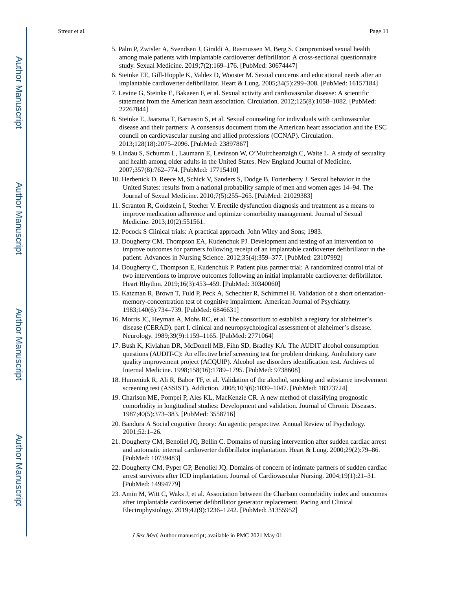- 5. Palm P, Zwisler A, Svendsen J, Giraldi A, Rasmussen M, Berg S. Compromised sexual health among male patients with implantable cardioverter defibrillator: A cross-sectional questionnaire study. Sexual Medicine. 2019;7(2):169–176. [PubMed: 30674447]
- 6. Steinke EE, Gill-Hopple K, Valdez D, Wooster M. Sexual concerns and educational needs after an implantable cardioverter defibrillator. Heart & Lung. 2005;34(5):299–308. [PubMed: 16157184]
- 7. Levine G, Steinke E, Bakaeen F, et al. Sexual activity and cardiovascular disease: A scientific statement from the American heart association. Circulation. 2012;125(8):1058–1082. [PubMed: 22267844]
- 8. Steinke E, Jaarsma T, Barnason S, et al. Sexual counseling for individuals with cardiovascular disease and their partners: A consensus document from the American heart association and the ESC council on cardiovascular nursing and allied professions (CCNAP). Circulation. 2013;128(18):2075–2096. [PubMed: 23897867]
- 9. Lindau S, Schumm L, Laumann E, Levinson W, O'Muircheartaigh C, Waite L. A study of sexuality and health among older adults in the United States. New England Journal of Medicine. 2007;357(8):762–774. [PubMed: 17715410]
- 10. Herbenick D, Reece M, Schick V, Sanders S, Dodge B, Fortenberry J. Sexual behavior in the United States: results from a national probability sample of men and women ages 14–94. The Journal of Sexual Medicine. 2010;7(5):255–265. [PubMed: 21029383]
- 11. Scranton R, Goldstein I, Stecher V. Erectile dysfunction diagnosis and treatment as a means to improve medication adherence and optimize comorbidity management. Journal of Sexual Medicine. 2013;10(2):551561.
- 12. Pocock S Clinical trials: A practical approach. John Wiley and Sons; 1983.
- 13. Dougherty CM, Thompson EA, Kudenchuk PJ. Development and testing of an intervention to improve outcomes for partners following receipt of an implantable cardioverter defibrillator in the patient. Advances in Nursing Science. 2012;35(4):359–377. [PubMed: 23107992]
- 14. Dougherty C, Thompson E, Kudenchuk P. Patient plus partner trial: A randomized control trial of two interventions to improve outcomes following an initial implantable cardioverter defibrillator. Heart Rhythm. 2019;16(3):453–459. [PubMed: 30340060]
- 15. Katzman R, Brown T, Fuld P, Peck A, Schechter R, Schimmel H. Validation of a short orientationmemory-concentration test of cognitive impairment. American Journal of Psychiatry. 1983;140(6):734–739. [PubMed: 6846631]
- 16. Morris JC, Heyman A, Mohs RC, et al. The consortium to establish a registry for alzheimer's disease (CERAD). part I. clinical and neuropsychological assessment of alzheimer's disease. Neurology. 1989;39(9):1159–1165. [PubMed: 2771064]
- 17. Bush K, Kivlahan DR, McDonell MB, Fihn SD, Bradley KA. The AUDIT alcohol consumption questions (AUDIT-C): An effective brief screening test for problem drinking. Ambulatory care quality improvement project (ACQUIP). Alcohol use disorders identification test. Archives of Internal Medicine. 1998;158(16):1789–1795. [PubMed: 9738608]
- 18. Humeniuk R, Ali R, Babor TF, et al. Validation of the alcohol, smoking and substance involvement screening test (ASSIST). Addiction. 2008;103(6):1039–1047. [PubMed: 18373724]
- 19. Charlson ME, Pompei P, Ales KL, MacKenzie CR. A new method of classifying prognostic comorbidity in longitudinal studies: Development and validation. Journal of Chronic Diseases. 1987;40(5):373–383. [PubMed: 3558716]
- 20. Bandura A Social cognitive theory: An agentic perspective. Annual Review of Psychology. 2001;52:1–26.
- 21. Dougherty CM, Benoliel JQ, Bellin C. Domains of nursing intervention after sudden cardiac arrest and automatic internal cardioverter defibrillator implantation. Heart & Lung. 2000;29(2):79–86. [PubMed: 10739483]
- 22. Dougherty CM, Pyper GP, Benoliel JQ. Domains of concern of intimate partners of sudden cardiac arrest survivors after ICD implantation. Journal of Cardiovascular Nursing. 2004;19(1):21–31. [PubMed: 14994779]
- 23. Amin M, Witt C, Waks J, et al. Association between the Charlson comorbidity index and outcomes after implantable cardioverter defibrillator generator replacement. Pacing and Clinical Electrophysiology. 2019;42(9):1236–1242. [PubMed: 31355952]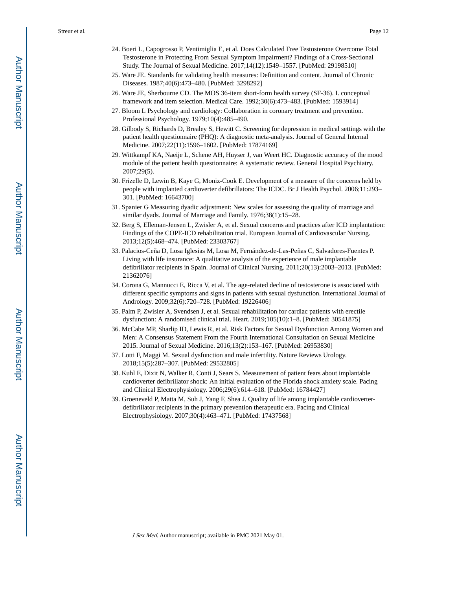- 24. Boeri L, Capogrosso P, Ventimiglia E, et al. Does Calculated Free Testosterone Overcome Total Testosterone in Protecting From Sexual Symptom Impairment? Findings of a Cross-Sectional Study. The Journal of Sexual Medicine. 2017;14(12):1549–1557. [PubMed: 29198510]
- 25. Ware JE. Standards for validating health measures: Definition and content. Journal of Chronic Diseases. 1987;40(6):473–480. [PubMed: 3298292]
- 26. Ware JE, Sherbourne CD. The MOS 36-item short-form health survey (SF-36). I. conceptual framework and item selection. Medical Care. 1992;30(6):473–483. [PubMed: 1593914]
- 27. Bloom L Psychology and cardiology: Collaboration in coronary treatment and prevention. Professional Psychology. 1979;10(4):485–490.
- 28. Gilbody S, Richards D, Brealey S, Hewitt C. Screening for depression in medical settings with the patient health questionnaire (PHQ): A diagnostic meta-analysis. Journal of General Internal Medicine. 2007;22(11):1596–1602. [PubMed: 17874169]
- 29. Wittkampf KA, Naeije L, Schene AH, Huyser J, van Weert HC. Diagnostic accuracy of the mood module of the patient health questionnaire: A systematic review. General Hospital Psychiatry. 2007;29(5).
- 30. Frizelle D, Lewin B, Kaye G, Moniz-Cook E. Development of a measure of the concerns held by people with implanted cardioverter defibrillators: The ICDC. Br J Health Psychol. 2006;11:293– 301. [PubMed: 16643700]
- 31. Spanier G Measuring dyadic adjustment: New scales for assessing the quality of marriage and similar dyads. Journal of Marriage and Family. 1976;38(1):15–28.
- 32. Berg S, Elleman-Jensen L, Zwisler A, et al. Sexual concerns and practices after ICD implantation: Findings of the COPE-ICD rehabilitation trial. European Journal of Cardiovascular Nursing. 2013;12(5):468–474. [PubMed: 23303767]
- 33. Palacios-Ceña D, Losa Iglesias M, Losa M, Fernández-de-Las-Peñas C, Salvadores-Fuentes P. Living with life insurance: A qualitative analysis of the experience of male implantable defibrillator recipients in Spain. Journal of Clinical Nursing. 2011;20(13):2003–2013. [PubMed: 21362076]
- 34. Corona G, Mannucci E, Ricca V, et al. The age-related decline of testosterone is associated with different specific symptoms and signs in patients with sexual dysfunction. International Journal of Andrology. 2009;32(6):720–728. [PubMed: 19226406]
- 35. Palm P, Zwisler A, Svendsen J, et al. Sexual rehabilitation for cardiac patients with erectile dysfunction: A randomised clinical trial. Heart. 2019;105(10):1–8. [PubMed: 30541875]
- 36. McCabe MP, Sharlip ID, Lewis R, et al. Risk Factors for Sexual Dysfunction Among Women and Men: A Consensus Statement From the Fourth International Consultation on Sexual Medicine 2015. Journal of Sexual Medicine. 2016;13(2):153–167. [PubMed: 26953830]
- 37. Lotti F, Maggi M. Sexual dysfunction and male infertility. Nature Reviews Urology. 2018;15(5):287–307. [PubMed: 29532805]
- 38. Kuhl E, Dixit N, Walker R, Conti J, Sears S. Measurement of patient fears about implantable cardioverter defibrillator shock: An initial evaluation of the Florida shock anxiety scale. Pacing and Clinical Electrophysiology. 2006;29(6):614–618. [PubMed: 16784427]
- 39. Groeneveld P, Matta M, Suh J, Yang F, Shea J. Quality of life among implantable cardioverterdefibrillator recipients in the primary prevention therapeutic era. Pacing and Clinical Electrophysiology. 2007;30(4):463–471. [PubMed: 17437568]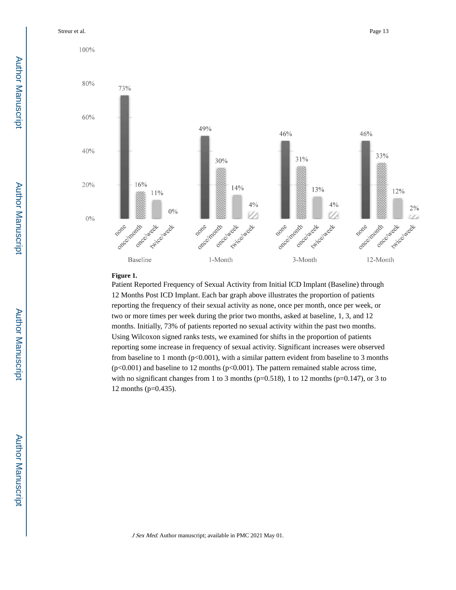Streur et al. Page 13

100%



#### **Figure 1.**

Patient Reported Frequency of Sexual Activity from Initial ICD Implant (Baseline) through 12 Months Post ICD Implant. Each bar graph above illustrates the proportion of patients reporting the frequency of their sexual activity as none, once per month, once per week, or two or more times per week during the prior two months, asked at baseline, 1, 3, and 12 months. Initially, 73% of patients reported no sexual activity within the past two months. Using Wilcoxon signed ranks tests, we examined for shifts in the proportion of patients reporting some increase in frequency of sexual activity. Significant increases were observed from baseline to 1 month (p<0.001), with a similar pattern evident from baseline to 3 months  $(p<0.001)$  and baseline to 12 months  $(p<0.001)$ . The pattern remained stable across time, with no significant changes from 1 to 3 months ( $p=0.518$ ), 1 to 12 months ( $p=0.147$ ), or 3 to 12 months (p=0.435).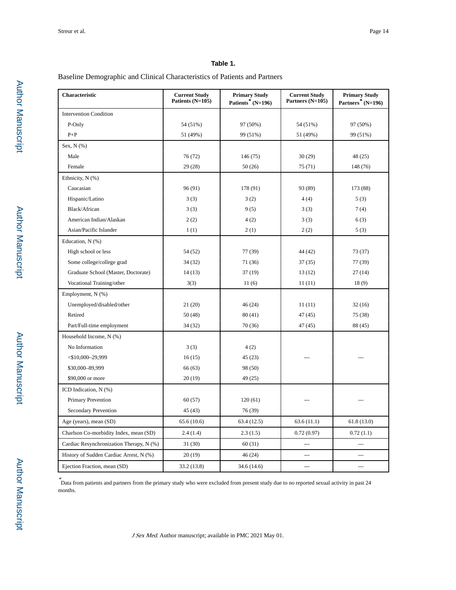# **Table 1.**

Baseline Demographic and Clinical Characteristics of Patients and Partners

| Characteristic                           | <b>Current Study</b><br>Patients (N=105) | <b>Primary Study</b><br>Patients* $(N=196)$ | <b>Current Study</b><br>Partners (N=105) | <b>Primary Study</b><br>Partners <sup>*</sup> $(N=196)$ |  |
|------------------------------------------|------------------------------------------|---------------------------------------------|------------------------------------------|---------------------------------------------------------|--|
| <b>Intervention Condition</b>            |                                          |                                             |                                          |                                                         |  |
| P-Only                                   | 54 (51%)                                 | 97 (50%)                                    | 54 (51%)                                 | 97 (50%)                                                |  |
| $P+P$                                    | 51 (49%)                                 | 99 (51%)                                    | 51 (49%)                                 | 99 (51%)                                                |  |
| Sex, N (%)                               |                                          |                                             |                                          |                                                         |  |
| Male                                     | 76 (72)                                  | 146 (75)                                    | 30(29)                                   | 48 (25)                                                 |  |
| Female                                   | 29(28)                                   | 50(26)                                      | 75 (71)                                  | 148 (76)                                                |  |
| Ethnicity, N (%)                         |                                          |                                             |                                          |                                                         |  |
| Caucasian                                | 96(91)                                   | 178 (91)                                    | 93 (89)                                  | 173 (88)                                                |  |
| Hispanic/Latino                          | 3(3)                                     | 3(2)                                        | 4(4)                                     | 5(3)                                                    |  |
| Black/African                            | 3(3)                                     | 9(5)                                        | 3(3)                                     | 7(4)                                                    |  |
| American Indian/Alaskan                  | 2(2)                                     | 4(2)                                        | 3(3)                                     | 6(3)                                                    |  |
| Asian/Pacific Islander                   | 1(1)                                     | 2(1)                                        | 2(2)                                     | 5(3)                                                    |  |
| Education, N (%)                         |                                          |                                             |                                          |                                                         |  |
| High school or less                      | 54 (52)                                  | 77 (39)                                     | 44 (42)                                  | 73 (37)                                                 |  |
| Some college/college grad                | 34 (32)                                  | 71 (36)                                     | 37(35)                                   | 77 (39)                                                 |  |
| Graduate School (Master, Doctorate)      | 14(13)                                   | 37(19)                                      | 13(12)                                   | 27(14)                                                  |  |
| Vocational Training/other                | 3(3)                                     | 11(6)                                       | 11(11)                                   | 18(9)                                                   |  |
| Employment, N (%)                        |                                          |                                             |                                          |                                                         |  |
| Unemployed/disabled/other                | 21(20)                                   | 46(24)                                      | 11(11)                                   | 32(16)                                                  |  |
| Retired                                  | 50(48)                                   | 80(41)                                      | 47(45)                                   | 75 (38)                                                 |  |
| Part/Full-time employment                | 34(32)                                   | 70(36)                                      | 47(45)                                   | 88 (45)                                                 |  |
| Household Income, N (%)                  |                                          |                                             |                                          |                                                         |  |
| No Information                           | 3(3)                                     | 4(2)                                        |                                          |                                                         |  |
| $<$ \$10,000-29,999                      | 16(15)                                   | 45 (23)                                     |                                          |                                                         |  |
| \$30,000-89,999                          | 66 (63)                                  | 98 (50)                                     |                                          |                                                         |  |
| \$90,000 or more                         | 20(19)                                   | 49 (25)                                     |                                          |                                                         |  |
| ICD Indication, $N$ $(\%)$               |                                          |                                             |                                          |                                                         |  |
| Primary Prevention                       | 60(57)                                   | 120(61)                                     |                                          |                                                         |  |
| Secondary Prevention                     | 45(43)                                   | 76 (39)                                     |                                          |                                                         |  |
| Age (years), mean (SD)                   | 65.6(10.6)                               | 63.4(12.5)                                  | 63.6(11.1)                               | 61.8(13.0)                                              |  |
| Charlson Co-morbidity Index, mean (SD)   | 2.4(1.4)                                 | 2.3(1.5)                                    | 0.72(0.97)                               | 0.72(1.1)                                               |  |
| Cardiac Resynchronization Therapy, N (%) | 31(30)                                   | 60(31)                                      | ---                                      | $\overline{a}$                                          |  |
| History of Sudden Cardiac Arrest, N (%)  | 20(19)                                   | 46 (24)                                     | ---                                      | $---$                                                   |  |
| Ejection Fraction, mean (SD)             | 33.2 (13.8)                              | 34.6 (14.6)                                 | ---                                      | ---                                                     |  |

\* Data from patients and partners from the primary study who were excluded from present study due to no reported sexual activity in past 24 months.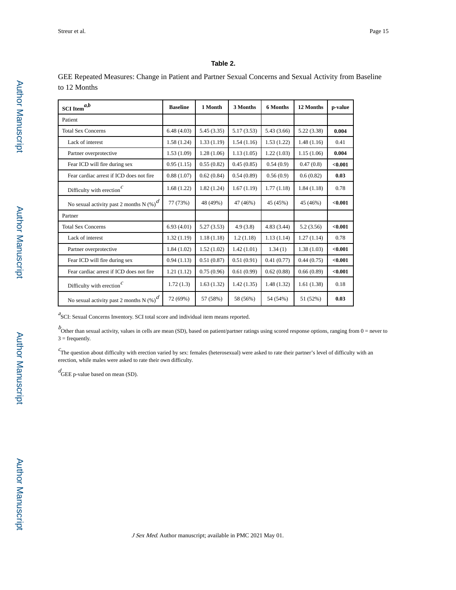#### **Table 2.**

GEE Repeated Measures: Change in Patient and Partner Sexual Concerns and Sexual Activity from Baseline to 12 Months

| a.b<br><b>SCI</b> Item                       | <b>Baseline</b> | 1 Month    | 3 Months   | 6 Months   | 12 Months  | p-value |
|----------------------------------------------|-----------------|------------|------------|------------|------------|---------|
| Patient                                      |                 |            |            |            |            |         |
| <b>Total Sex Concerns</b>                    | 6.48(4.03)      | 5.45(3.35) | 5.17(3.53) | 5.43(3.66) | 5.22(3.38) | 0.004   |
| Lack of interest                             | 1.58(1.24)      | 1.33(1.19) | 1.54(1.16) | 1.53(1.22) | 1.48(1.16) | 0.41    |
| Partner overprotective                       | 1.53(1.09)      | 1.28(1.06) | 1.13(1.05) | 1.22(1.03) | 1.15(1.06) | 0.004   |
| Fear ICD will fire during sex                | 0.95(1.15)      | 0.55(0.82) | 0.45(0.85) | 0.54(0.9)  | 0.47(0.8)  | < 0.001 |
| Fear cardiac arrest if ICD does not fire     | 0.88(1.07)      | 0.62(0.84) | 0.54(0.89) | 0.56(0.9)  | 0.6(0.82)  | 0.03    |
| Difficulty with erection $\int$ <sup>c</sup> | 1.68(1.22)      | 1.82(1.24) | 1.67(1.19) | 1.77(1.18) | 1.84(1.18) | 0.78    |
| No sexual activity past 2 months N $(\%)^d$  | 77 (73%)        | 48 (49%)   | 47 (46%)   | 45 (45%)   | 45 (46%)   | < 0.001 |
| Partner                                      |                 |            |            |            |            |         |
| <b>Total Sex Concerns</b>                    | 6.93(4.01)      | 5.27(3.53) | 4.9(3.8)   | 4.83(3.44) | 5.2(3.56)  | < 0.001 |
| Lack of interest                             | 1.32(1.19)      | 1.18(1.18) | 1.2(1.18)  | 1.13(1.14) | 1.27(1.14) | 0.78    |
| Partner overprotective                       | 1.84(1.02)      | 1.52(1.02) | 1.42(1.01) | 1.34(1)    | 1.38(1.03) | < 0.001 |
| Fear ICD will fire during sex                | 0.94(1.13)      | 0.51(0.87) | 0.51(0.91) | 0.41(0.77) | 0.44(0.75) | < 0.001 |
| Fear cardiac arrest if ICD does not fire     | 1.21(1.12)      | 0.75(0.96) | 0.61(0.99) | 0.62(0.88) | 0.66(0.89) | < 0.001 |
| Difficulty with erection $\int$ <sup>c</sup> | 1.72(1.3)       | 1.63(1.32) | 1.42(1.35) | 1.48(1.32) | 1.61(1.38) | 0.18    |
| No sexual activity past 2 months N $(\%)^d$  | 72 (69%)        | 57 (58%)   | 58 (56%)   | 54 (54%)   | 51 (52%)   | 0.03    |

<sup>a</sup>SCI: Sexual Concerns Inventory. SCI total score and individual item means reported.

 $b$  Other than sexual activity, values in cells are mean (SD), based on patient/partner ratings using scored response options, ranging from 0 = never to  $3 = frequency$ .

 $c^c$ The question about difficulty with erection varied by sex: females (heterosexual) were asked to rate their partner's level of difficulty with an erection, while males were asked to rate their own difficulty.

 $d_{\text{GEE}}$  p-value based on mean (SD).

Author Manuscript

**Author Manuscript**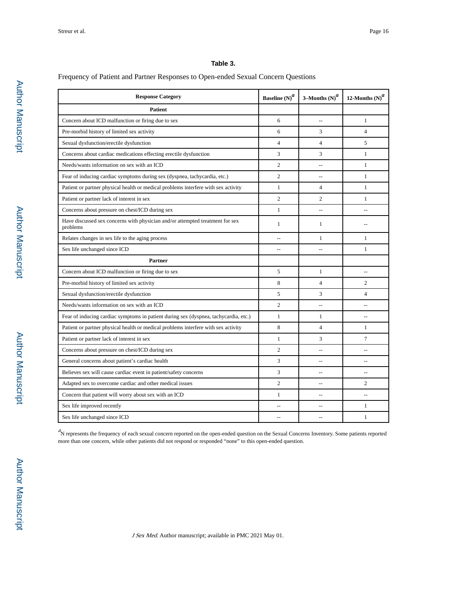# **Table 3.**

# Frequency of Patient and Partner Responses to Open-ended Sexual Concern Questions

| <b>Response Category</b>                                                                  | Baseline $\left({\rm N}\right)^a$ | 3–Months $(N)^d$ | 12-Months $(N)^d$ |  |
|-------------------------------------------------------------------------------------------|-----------------------------------|------------------|-------------------|--|
| <b>Patient</b>                                                                            |                                   |                  |                   |  |
| Concern about ICD malfunction or firing due to sex                                        | 6                                 |                  | 1                 |  |
| Pre-morbid history of limited sex activity                                                | 6                                 | 3                | $\overline{4}$    |  |
| Sexual dysfunction/erectile dysfunction                                                   | $\overline{4}$                    | $\overline{4}$   | 5                 |  |
| Concerns about cardiac medications effecting erectile dysfunction                         | 3                                 | 3                | $\mathbf{1}$      |  |
| Needs/wants information on sex with an ICD                                                | $\overline{c}$                    | $\overline{a}$   | 1                 |  |
| Fear of inducing cardiac symptoms during sex (dyspnea, tachycardia, etc.)                 | $\overline{2}$                    | $\overline{a}$   | $\mathbf{1}$      |  |
| Patient or partner physical health or medical problems interfere with sex activity        | $\mathbf{1}$                      | $\overline{4}$   | 1                 |  |
| Patient or partner lack of interest in sex                                                | $\overline{2}$                    | $\overline{2}$   | 1                 |  |
| Concerns about pressure on chest/ICD during sex                                           | $\mathbf{1}$                      | $\overline{a}$   | $\overline{a}$    |  |
| Have discussed sex concerns with physician and/or attempted treatment for sex<br>problems | 1                                 | $\mathbf{1}$     |                   |  |
| Relates changes in sex life to the aging process                                          | $\sim$                            | $\mathbf{1}$     | 1                 |  |
| Sex life unchanged since ICD                                                              | $\sim$                            | $\overline{a}$   | $\mathbf{1}$      |  |
| Partner                                                                                   |                                   |                  |                   |  |
| Concern about ICD malfunction or firing due to sex                                        | 5                                 | $\mathbf{1}$     | $\sim$            |  |
| Pre-morbid history of limited sex activity                                                | 8                                 | $\overline{4}$   | $\overline{2}$    |  |
| Sexual dysfunction/erectile dysfunction                                                   | 5                                 | 3                | 4                 |  |
| Needs/wants information on sex with an ICD                                                | $\overline{2}$                    |                  |                   |  |
| Fear of inducing cardiac symptoms in patient during sex (dyspnea, tachycardia, etc.)      | 1                                 | $\mathbf{1}$     |                   |  |
| Patient or partner physical health or medical problems interfere with sex activity        | 8                                 | $\overline{4}$   | 1                 |  |
| Patient or partner lack of interest in sex                                                | 1                                 | 3                | $\tau$            |  |
| Concerns about pressure on chest/ICD during sex                                           | $\overline{c}$                    |                  |                   |  |
| General concerns about patient's cardiac health                                           | 3                                 | ۵.               | $-$               |  |
| Believes sex will cause cardiac event in patient/safety concerns                          | 3                                 | ۵.               | $-$               |  |
| Adapted sex to overcome cardiac and other medical issues                                  | $\overline{2}$                    | $\overline{a}$   | $\overline{c}$    |  |
| Concern that patient will worry about sex with an ICD                                     | 1                                 | $\overline{a}$   | $\sim$            |  |
| Sex life improved recently                                                                |                                   | $\overline{a}$   | $\mathbf{1}$      |  |
| Sex life unchanged since ICD                                                              |                                   |                  | $\mathbf{1}$      |  |

<sup>a</sup>N represents the frequency of each sexual concern reported on the open-ended question on the Sexual Concerns Inventory. Some patients reported more than one concern, while other patients did not respond or responded "none" to this open-ended question.